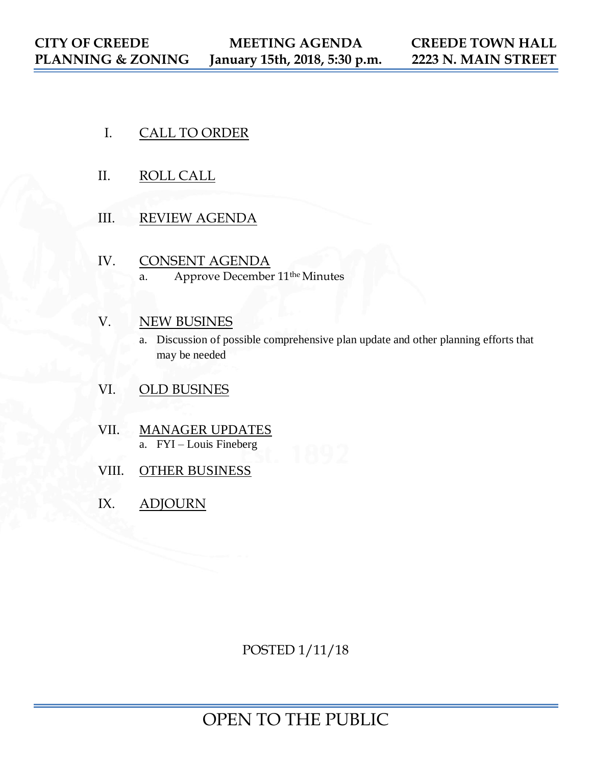- I. CALL TO ORDER
- II. ROLL CALL
- III. REVIEW AGENDA
- IV. CONSENT AGENDA a. Approve December 11the Minutes
- V. NEW BUSINES
	- a. Discussion of possible comprehensive plan update and other planning efforts that may be needed
- VI. OLD BUSINES
- VII. MANAGER UPDATES a. FYI – Louis Fineberg
- VIII. OTHER BUSINESS
- IX. ADJOURN

POSTED 1/11/18